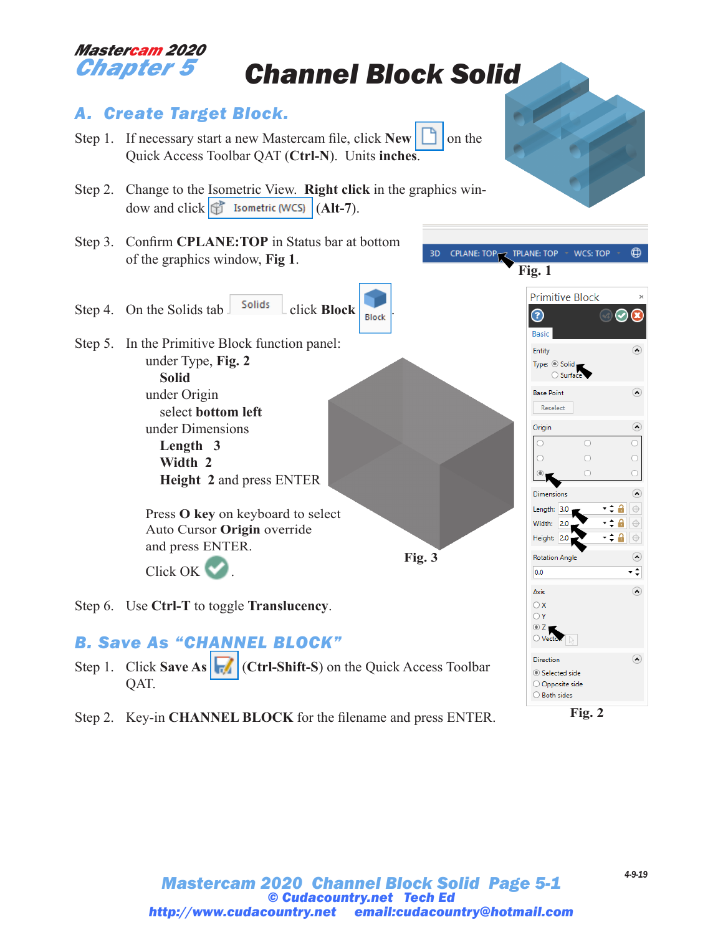# *Mastercam 2020*

## *Chapter 5 Channel Block Solid*

### *A. Create Target Block.*

- Step 1. If necessary start a new Mastercam file, click  $\text{New} \Box$  on the Quick Access Toolbar QAT (**Ctrl-N**). Units **inches**.
- Step 2. Change to the Isometric View. **Right click** in the graphics window and click  $\left|\mathbf{f}\right|$  Isometric (WCS)  $\left| \mathbf{(Alt-7)} \right|$ .
- Step 3. Confirm **CPLANE:TOP** in Status bar at bottom of the graphics window, **Fig 1**.
- Step 4. On the Solids tab  $\int$  solids  $\int$  click **Block Block**
- Step 5. In the Primitive Block function panel: under Type, **Fig. 2 Solid** under Origin select **bottom left** under Dimensions **Length 3 Width 2 Height 2** and press ENTER

Press **O key** on keyboard to select Auto Cursor **Origin** override and press ENTER. Click OK

Step 6. Use **Ctrl-T** to toggle **Translucency**.

### *B. Save As "CHANNEL BLOCK"*

- Step 1. Click **Save As** (**Ctrl-Shift-S**) on the Quick Access Toolbar QAT.
- Step 2. Key-in **CHANNEL BLOCK** for the filename and press ENTER.



**Fig. 3**

**Fig. 2**



WCS: TOP

 $\bigoplus$ 

 $\circ$ 

 $\Omega$ 

 $\Omega$ 

 $\odot$ 

 $\circ$ 

 $\bigcirc$ 

 $\circ$  $\Omega$ 

 $\odot$ ∹

 $\odot$ 

 $\odot$ 

-≑8  $\oplus$ 

> a  $\oplus$  $\oplus$

**Fig. 1**

ᢙ

**Basic** 

Entity Type:  $\circledcirc$  Solid ○ Surfa **Base Point** 

Reselect

 $\circ$ 

 $\circ$ 

 $\circ$ 

Origin

 $\bigcirc$ 

Dimensions

Length: 3.0 Width: 2.0

Height: 2.0 **Rotation Angle** 

Selected side O Opposite side ○ Both sides

 $0.0$ 

Axis  $\bigcirc$  x  $\bigcirc$  Y  $\circ$  z  $\bigcirc$  Ver Direction

**Primitive Block** 

3D CPLANE: TOP<sub>IZ</sub> TPLANE: TOP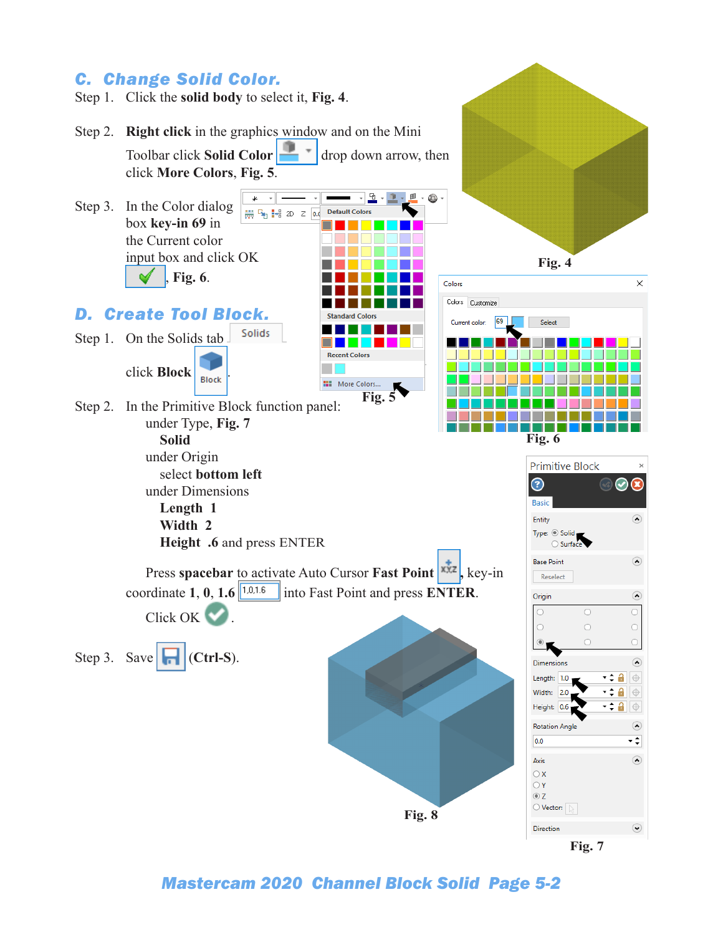

*Mastercam 2020 Channel Block Solid Page 5-2*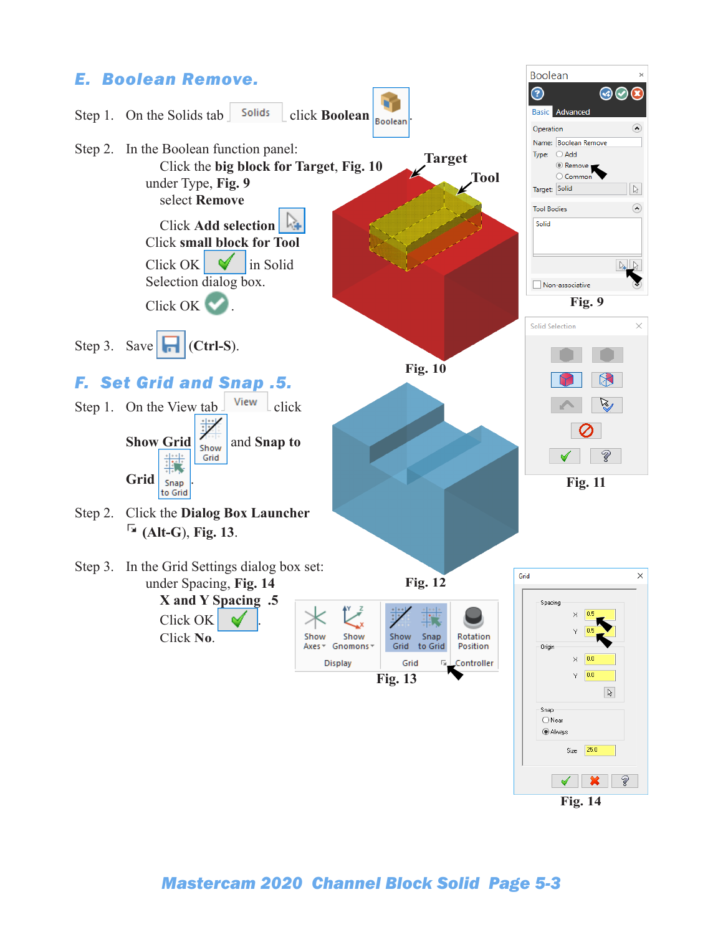

#### *Mastercam 2020 Channel Block Solid Page 5-3*